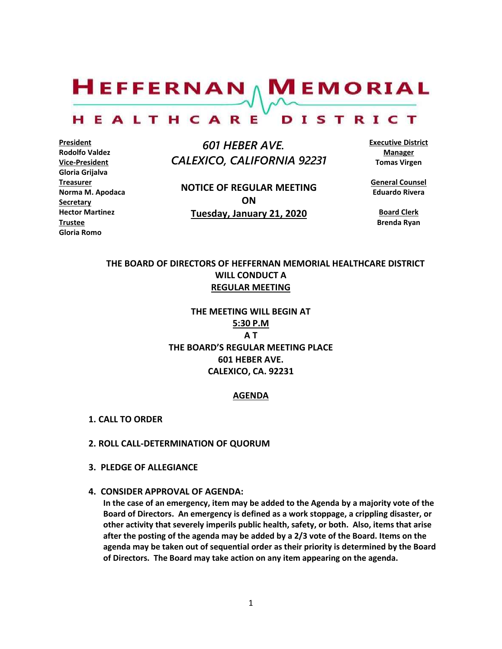$H$ EFFERNAN  $\wedge$  M EMORIAL

#### HEALTHCARE DISTRICT

**President Rodolfo Valdez Vice-President Gloria Grijalva Treasurer Norma M. Apodaca Secretary Hector Martinez Trustee Gloria Romo**

 *601 HEBER AVE. CALEXICO, CALIFORNIA 92231*

**NOTICE OF REGULAR MEETING ON Tuesday, January 21, 2020**

**Executive District Manager Tomas Virgen**

**General Counsel Eduardo Rivera**

**Board Clerk Brenda Ryan**

# **THE BOARD OF DIRECTORS OF HEFFERNAN MEMORIAL HEALTHCARE DISTRICT WILL CONDUCT A REGULAR MEETING**

**THE MEETING WILL BEGIN AT 5:30 P.M A T THE BOARD'S REGULAR MEETING PLACE 601 HEBER AVE. CALEXICO, CA. 92231**

#### **AGENDA**

- **1. CALL TO ORDER**
- **2. ROLL CALL-DETERMINATION OF QUORUM**
- **3. PLEDGE OF ALLEGIANCE**
- **4. CONSIDER APPROVAL OF AGENDA:**

**In the case of an emergency, item may be added to the Agenda by a majority vote of the Board of Directors. An emergency is defined as a work stoppage, a crippling disaster, or other activity that severely imperils public health, safety, or both. Also, items that arise after the posting of the agenda may be added by a 2/3 vote of the Board. Items on the agenda may be taken out of sequential order as their priority is determined by the Board of Directors. The Board may take action on any item appearing on the agenda.**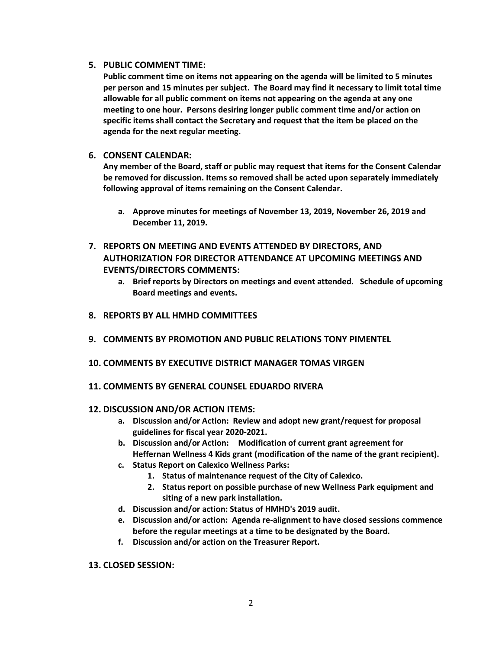## **5. PUBLIC COMMENT TIME:**

**Public comment time on items not appearing on the agenda will be limited to 5 minutes per person and 15 minutes per subject. The Board may find it necessary to limit total time allowable for all public comment on items not appearing on the agenda at any one meeting to one hour. Persons desiring longer public comment time and/or action on specific items shall contact the Secretary and request that the item be placed on the agenda for the next regular meeting.**

## **6. CONSENT CALENDAR:**

**Any member of the Board, staff or public may request that items for the Consent Calendar be removed for discussion. Items so removed shall be acted upon separately immediately following approval of items remaining on the Consent Calendar.**

- **a. Approve minutes for meetings of November 13, 2019, November 26, 2019 and December 11, 2019.**
- **7. REPORTS ON MEETING AND EVENTS ATTENDED BY DIRECTORS, AND AUTHORIZATION FOR DIRECTOR ATTENDANCE AT UPCOMING MEETINGS AND EVENTS/DIRECTORS COMMENTS:**
	- **a. Brief reports by Directors on meetings and event attended. Schedule of upcoming Board meetings and events.**
- **8. REPORTS BY ALL HMHD COMMITTEES**
- **9. COMMENTS BY PROMOTION AND PUBLIC RELATIONS TONY PIMENTEL**
- **10. COMMENTS BY EXECUTIVE DISTRICT MANAGER TOMAS VIRGEN**
- **11. COMMENTS BY GENERAL COUNSEL EDUARDO RIVERA**

### **12. DISCUSSION AND/OR ACTION ITEMS:**

- **a. Discussion and/or Action: Review and adopt new grant/request for proposal guidelines for fiscal year 2020-2021.**
- **b. Discussion and/or Action: Modification of current grant agreement for Heffernan Wellness 4 Kids grant (modification of the name of the grant recipient).**
- **c. Status Report on Calexico Wellness Parks:** 
	- **1. Status of maintenance request of the City of Calexico.**
	- **2. Status report on possible purchase of new Wellness Park equipment and siting of a new park installation.**
- **d. Discussion and/or action: Status of HMHD's 2019 audit.**
- **e. Discussion and/or action: Agenda re-alignment to have closed sessions commence before the regular meetings at a time to be designated by the Board.**
- **f. Discussion and/or action on the Treasurer Report.**

### **13. CLOSED SESSION:**